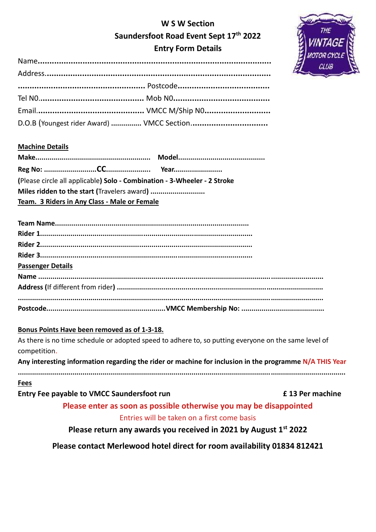# **W S W Section Saundersfoot Road Event Sept 17th 2022 Entry Form Details**



## **Machine Details**

| (Please circle all applicable) Solo - Combination - 3-Wheeler - 2 Stroke |  |  |  |  |
|--------------------------------------------------------------------------|--|--|--|--|
|                                                                          |  |  |  |  |
| Team. 3 Riders in Any Class - Male or Female                             |  |  |  |  |

| <b>Passenger Details</b> |  |
|--------------------------|--|
|                          |  |
|                          |  |
|                          |  |
|                          |  |

## **Bonus Points Have been removed as of 1-3-18.**

As there is no time schedule or adopted speed to adhere to, so putting everyone on the same level of competition.

**Any interesting information regarding the rider or machine for inclusion in the programme N/A THIS Year ..................................................................................................................................................................**

# **Fees**

**Entry Fee payable to VMCC Saundersfoot run £ 13 Per machine**

**Please enter as soon as possible otherwise you may be disappointed** Entries will be taken on a first come basis

# **Please return any awards you received in 2021 by August 1st 2022**

**Please contact Merlewood hotel direct for room availability 01834 812421**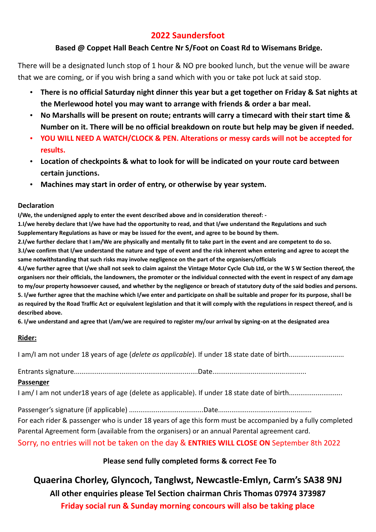# **2022 Saundersfoot**

## **Based @ Coppet Hall Beach Centre Nr S/Foot on Coast Rd to Wisemans Bridge.**

There will be a designated lunch stop of 1 hour & NO pre booked lunch, but the venue will be aware that we are coming, or if you wish bring a sand which with you or take pot luck at said stop.

- **There is no official Saturday night dinner this year but a get together on Friday & Sat nights at the Merlewood hotel you may want to arrange with friends & order a bar meal.**
- **No Marshalls will be present on route; entrants will carry a timecard with their start time & Number on it. There will be no official breakdown on route but help may be given if needed.**
- **YOU WILL NEED A WATCH/CLOCK & PEN. Alterations or messy cards will not be accepted for results.**
- **Location of checkpoints & what to look for will be indicated on your route card between certain junctions.**
- **Machines may start in order of entry, or otherwise by year system.**

#### **Declaration**

**I/We, the undersigned apply to enter the event described above and in consideration thereof: -**

**1.I/we hereby declare that I/we have had the opportunity to read, and that I/we understand the Regulations and such Supplementary Regulations as have or may be issued for the event, and agree to be bound by them.**

**2.I/we further declare that I am/We are physically and mentally fit to take part in the event and are competent to do so.**

**3.I/we confirm that I/we understand the nature and type of event and the risk inherent when entering and agree to accept the same notwithstanding that such risks may involve negligence on the part of the organisers/officials**

**4.I/we further agree that I/we shall not seek to claim against the Vintage Motor Cycle Club Ltd, or the W S W Section thereof, the organisers nor their officials, the landowners, the promoter or the individual connected with the event in respect of any damage to my/our property howsoever caused, and whether by the negligence or breach of statutory duty of the said bodies and persons. 5. I/we further agree that the machine which I/we enter and participate on shall be suitable and proper for its purpose, shall be as required by the Road Traffic Act or equivalent legislation and that it will comply with the regulations in respect thereof, and is described above.**

**6. I/we understand and agree that I/am/we are required to register my/our arrival by signing-on at the designated area**

## **Rider:**

I am/I am not under 18 years of age (*delete as applicable*). If under 18 state date of birth.............................

Entrants signature.................................................................Date.................................................

## **Passenger**

I am/I am not under 18 years of age (delete as applicable). If under 18 state date of birth.........................

Passenger's signature (if applicable) .......................................Date................................................. For each rider & passenger who is under 18 years of age this form must be accompanied by a fully completed Parental Agreement form (available from the organisers) or an annual Parental agreement card. Sorry, no entries will not be taken on the day & **ENTRIES WILL CLOSE ON** September 8th 2022

# **Please send fully completed forms & correct Fee To**

**Quaerina Chorley, Glyncoch, Tanglwst, Newcastle-Emlyn, Carm's SA38 9NJ All other enquiries please Tel Section chairman Chris Thomas 07974 373987 Friday social run & Sunday morning concours will also be taking place**